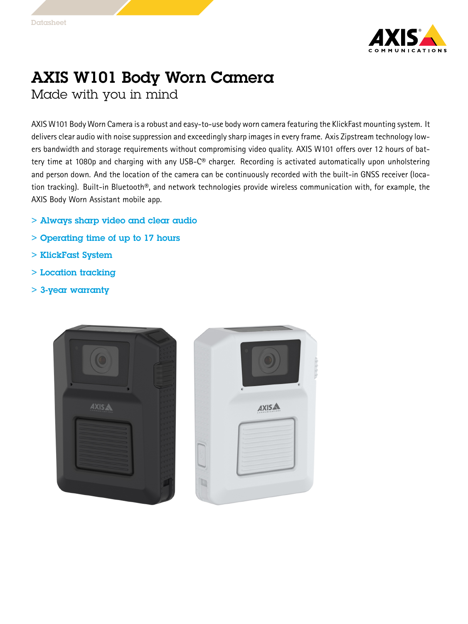

## AXIS W101 Body Worn Camera Made with you in mind

AXIS W101 Body Worn Camera is <sup>a</sup> robust and easy-to-use body worn camera featuring the KlickFast mounting system. It delivers clear audio with noise suppression and exceedingly sharp images in every frame. Axis Zipstream technology lowers bandwidth and storage requirements without compromising video quality. AXIS W101 offers over 12 hours of battery time at 1080p and charging with any USB-C® charger. Recording is activated automatically upon unholstering and person down. And the location of the camera can be continuously recorded with the built-in GNSS receiver (location tracking). Built-in Bluetooth®, and network technologies provide wireless communication with, for example, the AXIS Body Worn Assistant mobile app.

- > Always sharp video and clear audio
- > Operating time of up to 17 hours
- > KlickFast System
- > Location tracking
- > 3-year warranty